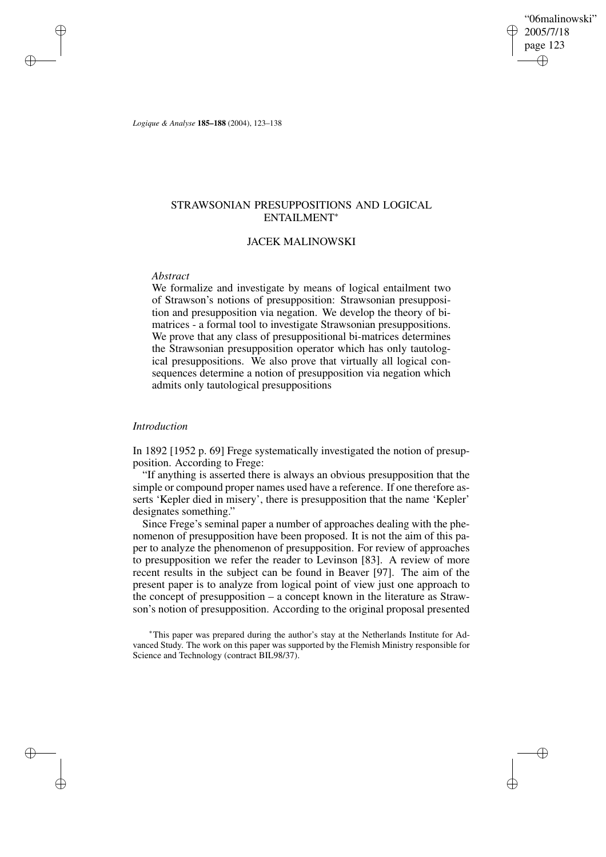"06malinowski" 2005/7/18 page 123 ✐ ✐

✐

✐

*Logique & Analyse* **185–188** (2004), 123–138

# STRAWSONIAN PRESUPPOSITIONS AND LOGICAL ENTAILMENT<sup>∗</sup>

# JACEK MALINOWSKI

### *Abstract*

✐

✐

✐

✐

We formalize and investigate by means of logical entailment two of Strawson's notions of presupposition: Strawsonian presupposition and presupposition via negation. We develop the theory of bimatrices - a formal tool to investigate Strawsonian presuppositions. We prove that any class of presuppositional bi-matrices determines the Strawsonian presupposition operator which has only tautological presuppositions. We also prove that virtually all logical consequences determine a notion of presupposition via negation which admits only tautological presuppositions

### *Introduction*

In 1892 [1952 p. 69] Frege systematically investigated the notion of presupposition. According to Frege:

"If anything is asserted there is always an obvious presupposition that the simple or compound proper names used have a reference. If one therefore asserts 'Kepler died in misery', there is presupposition that the name 'Kepler' designates something."

Since Frege's seminal paper a number of approaches dealing with the phenomenon of presupposition have been proposed. It is not the aim of this paper to analyze the phenomenon of presupposition. For review of approaches to presupposition we refer the reader to Levinson [83]. A review of more recent results in the subject can be found in Beaver [97]. The aim of the present paper is to analyze from logical point of view just one approach to the concept of presupposition – a concept known in the literature as Strawson's notion of presupposition. According to the original proposal presented

<sup>∗</sup>This paper was prepared during the author's stay at the Netherlands Institute for Advanced Study. The work on this paper was supported by the Flemish Ministry responsible for Science and Technology (contract BIL98/37).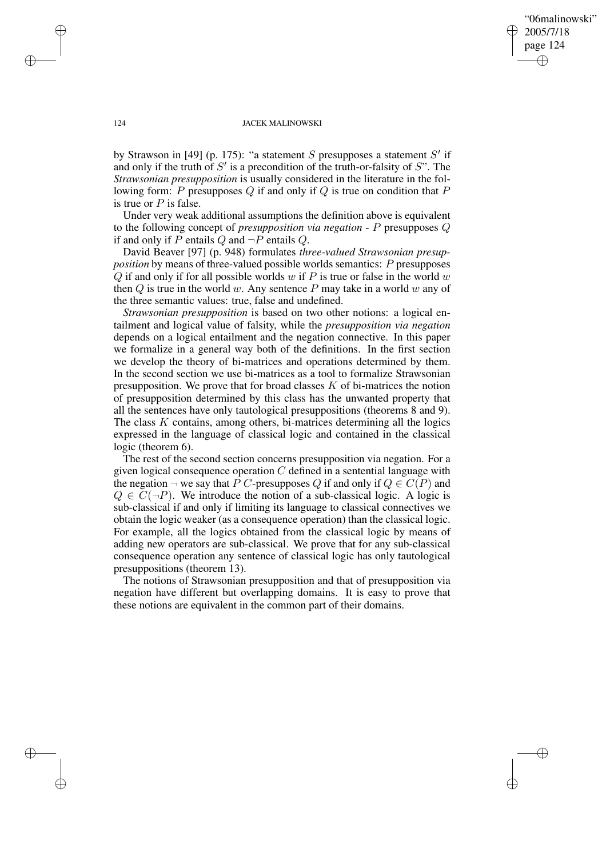"06malinowski" 2005/7/18 page 124 ✐ ✐

✐

✐

### 124 JACEK MALINOWSKI

by Strawson in [49] (p. 175): "a statement S presupposes a statement  $S'$  if and only if the truth of  $S'$  is a precondition of the truth-or-falsity of  $S''$ . The *Strawsonian presupposition* is usually considered in the literature in the following form: P presupposes  $Q$  if and only if  $Q$  is true on condition that  $P$ is true or  $P$  is false.

Under very weak additional assumptions the definition above is equivalent to the following concept of *presupposition via negation* - P presupposes Q if and only if P entails Q and  $\neg P$  entails Q.

David Beaver [97] (p. 948) formulates *three-valued Strawsonian presupposition* by means of three-valued possible worlds semantics: P presupposes Q if and only if for all possible worlds  $w$  if P is true or false in the world  $w$ then  $Q$  is true in the world w. Any sentence  $P$  may take in a world w any of the three semantic values: true, false and undefined.

*Strawsonian presupposition* is based on two other notions: a logical entailment and logical value of falsity, while the *presupposition via negation* depends on a logical entailment and the negation connective. In this paper we formalize in a general way both of the definitions. In the first section we develop the theory of bi-matrices and operations determined by them. In the second section we use bi-matrices as a tool to formalize Strawsonian presupposition. We prove that for broad classes  $K$  of bi-matrices the notion of presupposition determined by this class has the unwanted property that all the sentences have only tautological presuppositions (theorems 8 and 9). The class  $K$  contains, among others, bi-matrices determining all the logics expressed in the language of classical logic and contained in the classical logic (theorem 6).

The rest of the second section concerns presupposition via negation. For a given logical consequence operation  $C$  defined in a sentential language with the negation  $\neg$  we say that P C-presupposes Q if and only if  $Q \in C(P)$  and  $Q \in C(\neg P)$ . We introduce the notion of a sub-classical logic. A logic is sub-classical if and only if limiting its language to classical connectives we obtain the logic weaker (as a consequence operation) than the classical logic. For example, all the logics obtained from the classical logic by means of adding new operators are sub-classical. We prove that for any sub-classical consequence operation any sentence of classical logic has only tautological presuppositions (theorem 13).

The notions of Strawsonian presupposition and that of presupposition via negation have different but overlapping domains. It is easy to prove that these notions are equivalent in the common part of their domains.

✐

✐

✐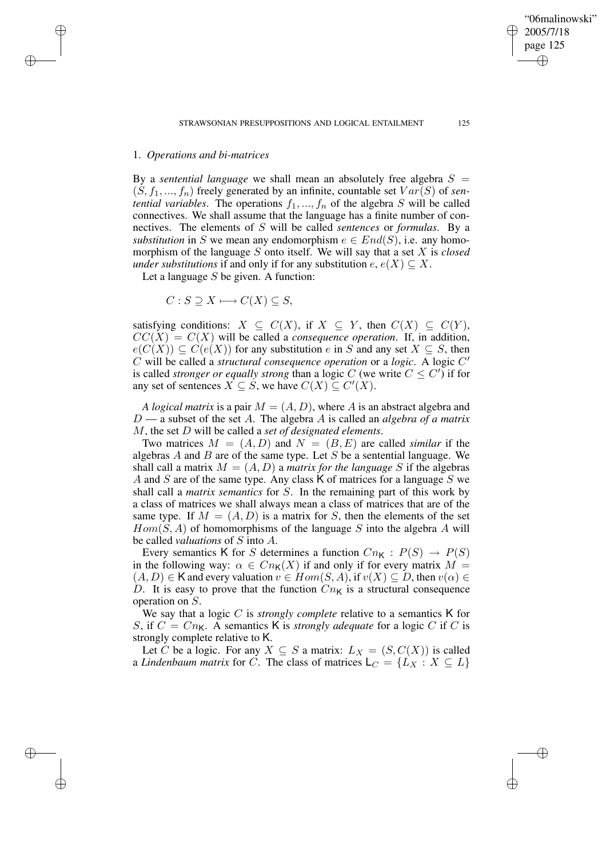"06malinowski" 2005/7/18 page 125

✐

✐

✐

✐

# 1. *Operations and bi-matrices*

✐

✐

✐

✐

By a *sentential language* we shall mean an absolutely free algebra  $S =$  $(S, f_1, ..., f_n)$  freely generated by an infinite, countable set  $Var(S)$  of *sentential variables*. The operations  $f_1, ..., f_n$  of the algebra S will be called connectives. We shall assume that the language has a finite number of connectives. The elements of S will be called *sentences* or *formulas*. By a *substitution* in S we mean any endomorphism  $e \in End(S)$ , i.e. any homomorphism of the language S onto itself. We will say that a set X is *closed under substitutions* if and only if for any substitution  $e, e(X) \subseteq X$ .

Let a language  $S$  be given. A function:

 $C: S \supseteq X \longmapsto C(X) \subseteq S$ ,

satisfying conditions:  $X \subseteq C(X)$ , if  $X \subseteq Y$ , then  $C(X) \subseteq C(Y)$ ,  $CC(X) = C(X)$  will be called a *consequence operation*. If, in addition,  $e(C(X)) \subseteq C(e(X))$  for any substitution e in S and any set  $X \subseteq S$ , then  $\hat{C}$  will be called a *structural consequence operation* or a *logic*. A logic  $C'$ is called *stronger or equally strong* than a logic C (we write  $C \leq C'$ ) if for any set of sentences  $X \subseteq S$ , we have  $C(X) \subseteq C'(X)$ .

*A logical matrix* is a pair  $M = (A, D)$ , where A is an abstract algebra and D — a subset of the set A. The algebra A is called an *algebra of a matrix* M, the set D will be called a *set of designated elements*.

Two matrices  $M = (A, D)$  and  $N = (B, E)$  are called *similar* if the algebras  $A$  and  $B$  are of the same type. Let  $S$  be a sentential language. We shall call a matrix  $M = (A, D)$  a *matrix for the language* S if the algebras A and S are of the same type. Any class K of matrices for a language S we shall call a *matrix semantics* for S. In the remaining part of this work by a class of matrices we shall always mean a class of matrices that are of the same type. If  $M = (A, D)$  is a matrix for S, then the elements of the set  $Hom(S, A)$  of homomorphisms of the language S into the algebra A will be called *valuations* of S into A.

Every semantics K for S determines a function  $Cn<sub>K</sub>$  :  $P(S) \rightarrow P(S)$ in the following way:  $\alpha \in Cn_{\mathsf{K}}(X)$  if and only if for every matrix  $M =$  $(A, D) \in K$  and every valuation  $v \in Hom(S, A)$ , if  $v(X) \subseteq D$ , then  $v(\alpha) \in K$ D. It is easy to prove that the function  $Cn<sub>K</sub>$  is a structural consequence operation on S.

We say that a logic C is *strongly complete* relative to a semantics K for S, if  $C = Cn_{\mathsf{K}}$ . A semantics K is *strongly adequate* for a logic C if C is strongly complete relative to K.

Let C be a logic. For any  $X \subseteq S$  a matrix:  $L_X = (S, C(X))$  is called a *Lindenbaum matrix* for C. The class of matrices  $\mathsf{L}_C = \{L_X : X \subseteq L\}$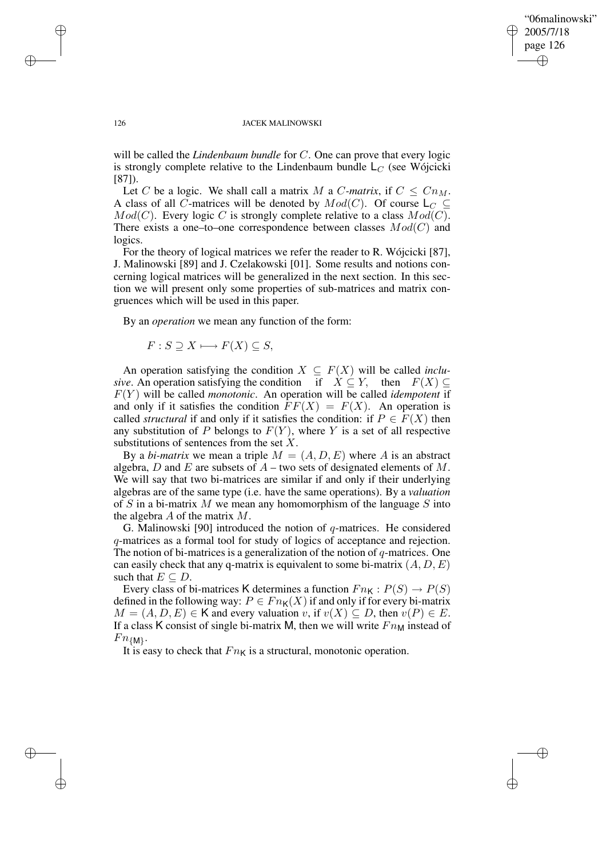## "06malinowski" 2005/7/18 page 126 ✐ ✐

✐

✐

#### 126 JACEK MALINOWSKI

will be called the *Lindenbaum bundle* for C. One can prove that every logic is strongly complete relative to the Lindenbaum bundle  $L_C$  (see Wójcicki [87]).

Let C be a logic. We shall call a matrix M a C-matrix, if  $C \leq Cn_M$ . A class of all C-matrices will be denoted by  $Mod(C)$ . Of course  $\mathsf{L}_C \subseteq$  $Mod(C)$ . Every logic C is strongly complete relative to a class  $Mod(C)$ . There exists a one–to–one correspondence between classes  $Mod(C)$  and logics.

For the theory of logical matrices we refer the reader to R. Wójcicki [87], J. Malinowski [89] and J. Czelakowski [01]. Some results and notions concerning logical matrices will be generalized in the next section. In this section we will present only some properties of sub-matrices and matrix congruences which will be used in this paper.

By an *operation* we mean any function of the form:

$$
F: S \supseteq X \longmapsto F(X) \subseteq S,
$$

An operation satisfying the condition  $X \subseteq F(X)$  will be called *inclusive*. An operation satisfying the condition if  $X \subseteq Y$ , then  $F(X) \subseteq$  $F(Y)$  will be called *monotonic*. An operation will be called *idempotent* if and only if it satisfies the condition  $\overline{FF}(X) = F(X)$ . An operation is called *structural* if and only if it satisfies the condition: if  $P \in F(X)$  then any substitution of P belongs to  $F(Y)$ , where Y is a set of all respective substitutions of sentences from the set  $X$ .

By a *bi-matrix* we mean a triple  $M = (A, D, E)$  where A is an abstract algebra, D and E are subsets of  $A$  – two sets of designated elements of M. We will say that two bi-matrices are similar if and only if their underlying algebras are of the same type (i.e. have the same operations). By a *valuation* of S in a bi-matrix M we mean any homomorphism of the language S into the algebra A of the matrix M.

G. Malinowski [90] introduced the notion of  $q$ -matrices. He considered q-matrices as a formal tool for study of logics of acceptance and rejection. The notion of bi-matrices is a generalization of the notion of  $q$ -matrices. One can easily check that any q-matrix is equivalent to some bi-matrix  $(A, D, E)$ such that  $E \subseteq D$ .

Every class of bi-matrices K determines a function  $Fn_K : P(S) \to P(S)$ defined in the following way:  $P \in Fn_K(X)$  if and only if for every bi-matrix  $M = (A, D, E) \in \mathsf{K}$  and every valuation v, if  $v(X) \subseteq D$ , then  $v(P) \in E$ . If a class K consist of single bi-matrix M, then we will write  $Fn_M$  instead of  $Fn_{\{M\}}$ .

It is easy to check that  $Fn<sub>K</sub>$  is a structural, monotonic operation.

✐

✐

✐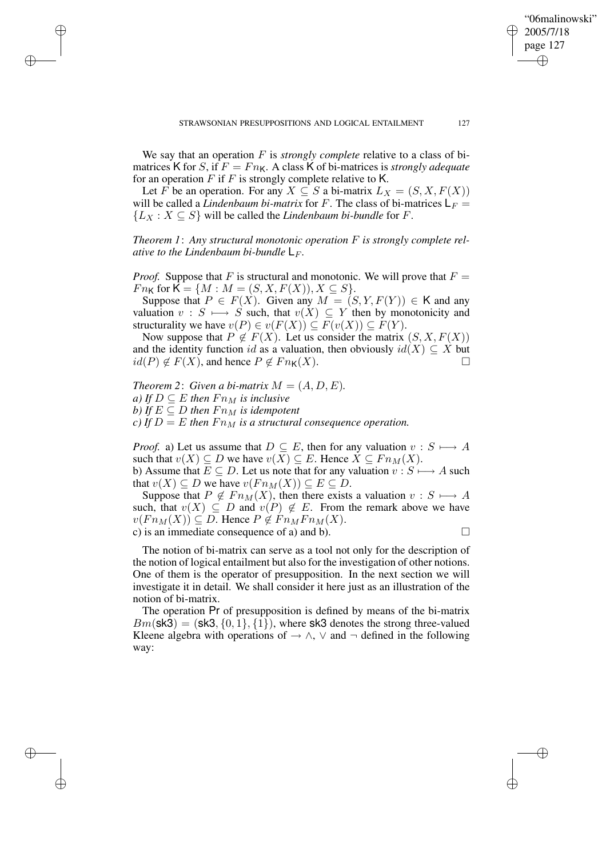✐

We say that an operation F is *strongly complete* relative to a class of bimatrices K for S, if  $F = Fn_K$ . A class K of bi-matrices is *strongly adequate* for an operation F if F is strongly complete relative to K.

✐

✐

✐

✐

Let F be an operation. For any  $X \subseteq S$  a bi-matrix  $L_X = (S, X, F(X))$ will be called a *Lindenbaum bi-matrix* for F. The class of bi-matrices  $L_F =$  ${L_X : X \subseteq S}$  will be called the *Lindenbaum bi-bundle* for *F*.

*Theorem 1*: *Any structural monotonic operation* F *is strongly complete relative to the Lindenbaum bi-bundle*  $\mathsf{L}_F$ *.* 

*Proof.* Suppose that F is structural and monotonic. We will prove that  $F =$  $Fn_{\mathsf{K}}$  for  $\mathsf{K} = \{M : M = (S, X, F(X)), X \subseteq S\}.$ 

Suppose that  $P \in F(X)$ . Given any  $M = (S, Y, F(Y)) \in K$  and any valuation  $v : S \longrightarrow S$  such, that  $v(X) \subseteq Y$  then by monotonicity and structurality we have  $v(P) \in v(F(X)) \subseteq F(v(X)) \subseteq F(Y)$ .

Now suppose that  $P \notin F(X)$ . Let us consider the matrix  $(S, X, F(X))$ and the identity function id as a valuation, then obviously  $id(X) \subseteq X$  but  $id(P) \notin F(X)$ , and hence  $P \notin Fn_K(X)$ .

*Theorem* 2: *Given a bi-matrix*  $M = (A, D, E)$ *. a) If*  $D \subseteq E$  *then*  $Fn_M$  *is inclusive b*) If  $E \subseteq D$  then  $Fn_M$  is idempotent *c)* If  $D = E$  then  $F n_M$  is a structural consequence operation.

*Proof.* a) Let us assume that  $D \subseteq E$ , then for any valuation  $v : S \longrightarrow A$ such that  $v(X) \subseteq D$  we have  $v(X) \subseteq E$ . Hence  $X \subseteq Fn_M(X)$ . b) Assume that  $E \subseteq D$ . Let us note that for any valuation  $v : S \longmapsto A$  such that  $v(X) \subseteq D$  we have  $v(Fn_M(X)) \subseteq E \subseteq D$ .

Suppose that  $P \notin F_n(M)$ , then there exists a valuation  $v : S \longrightarrow A$ such, that  $v(X) \subseteq D$  and  $v(P) \notin E$ . From the remark above we have  $v(Fn_M(X)) \subseteq D$ . Hence  $P \notin Fn_MFn_M(X)$ . c) is an immediate consequence of a) and b).  $\Box$ 

The notion of bi-matrix can serve as a tool not only for the description of the notion of logical entailment but also for the investigation of other notions. One of them is the operator of presupposition. In the next section we will investigate it in detail. We shall consider it here just as an illustration of the notion of bi-matrix.

The operation Pr of presupposition is defined by means of the bi-matrix  $Bm$ (sk3) = (sk3, {0, 1}, {1}), where sk3 denotes the strong three-valued Kleene algebra with operations of  $\rightarrow \wedge$ ,  $\vee$  and  $\neg$  defined in the following way: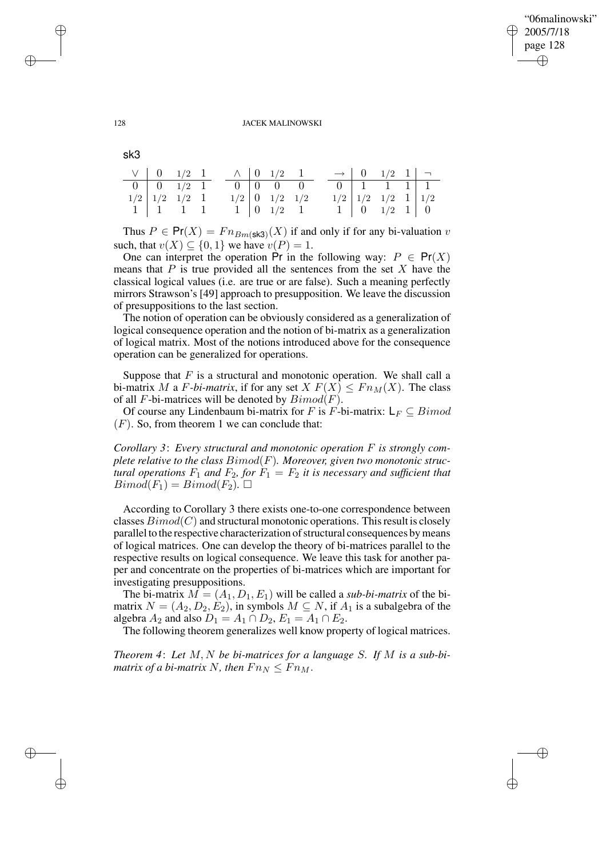✐

### 128 JACEK MALINOWSKI

sk3

|                            |  | $\vee$ 0 1/2 1 $\wedge$ 0 1/2 1 |                      |  |  | $\rightarrow$ 0 1/2 1 $\rightarrow$ |  |
|----------------------------|--|---------------------------------|----------------------|--|--|-------------------------------------|--|
| $0 \t 0 \t 1/2 \t 1$       |  |                                 |                      |  |  | $0 \mid 1 \mid 1 \mid 1$            |  |
| $1/2$ $1/2$ $1/2$ 1        |  |                                 | $1/2$ 0 $1/2$ $1/2$  |  |  | $1/2$ $1/2$ $1/2$ $1$ $1/2$         |  |
| $1 \mid 1 \quad 1 \quad 1$ |  |                                 | $1 \t 0 \t 1/2 \t 1$ |  |  | $1 \mid 0 \mid 1/2 \mid 1 \mid 0$   |  |

Thus  $P \in Pr(X) = Fn_{Bm}(sk3)}(X)$  if and only if for any bi-valuation v such, that  $v(X) \subseteq \{0, 1\}$  we have  $v(P) = 1$ .

One can interpret the operation Pr in the following way:  $P \in Pr(X)$ means that  $P$  is true provided all the sentences from the set  $X$  have the classical logical values (i.e. are true or are false). Such a meaning perfectly mirrors Strawson's [49] approach to presupposition. We leave the discussion of presuppositions to the last section.

The notion of operation can be obviously considered as a generalization of logical consequence operation and the notion of bi-matrix as a generalization of logical matrix. Most of the notions introduced above for the consequence operation can be generalized for operations.

Suppose that  $F$  is a structural and monotonic operation. We shall call a bi-matrix M a F-bi-matrix, if for any set  $X F(X) \leq F n_M(X)$ . The class of all F-bi-matrices will be denoted by  $Bimod(F)$ .

Of course any Lindenbaum bi-matrix for F is F-bi-matrix:  $L_F \subseteq Bimod$  $(F)$ . So, from theorem 1 we can conclude that:

*Corollary 3*: *Every structural and monotonic operation* F *is strongly complete relative to the class* Bimod(F)*. Moreover, given two monotonic structural operations*  $F_1$  *and*  $F_2$ *, for*  $F_1 = F_2$  *it is necessary and sufficient that*  $Bimod(F_1) = Bimod(F_2)$ .

According to Corollary 3 there exists one-to-one correspondence between classes  $Bimod(C)$  and structural monotonic operations. This result is closely parallel to the respective characterization of structural consequences by means of logical matrices. One can develop the theory of bi-matrices parallel to the respective results on logical consequence. We leave this task for another paper and concentrate on the properties of bi-matrices which are important for investigating presuppositions.

The bi-matrix  $M = (A_1, D_1, E_1)$  will be called a *sub-bi-matrix* of the bimatrix  $N = (A_2, D_2, E_2)$ , in symbols  $M \subseteq N$ , if  $A_1$  is a subalgebra of the algebra  $A_2$  and also  $D_1 = A_1 \cap D_2$ ,  $E_1 = A_1 \cap E_2$ .

The following theorem generalizes well know property of logical matrices.

*Theorem 4*: *Let* M, N *be bi-matrices for a language* S*. If* M *is a sub-bimatrix of a bi-matrix* N, *then*  $Fn_N \leq Fn_M$ .

✐

✐

✐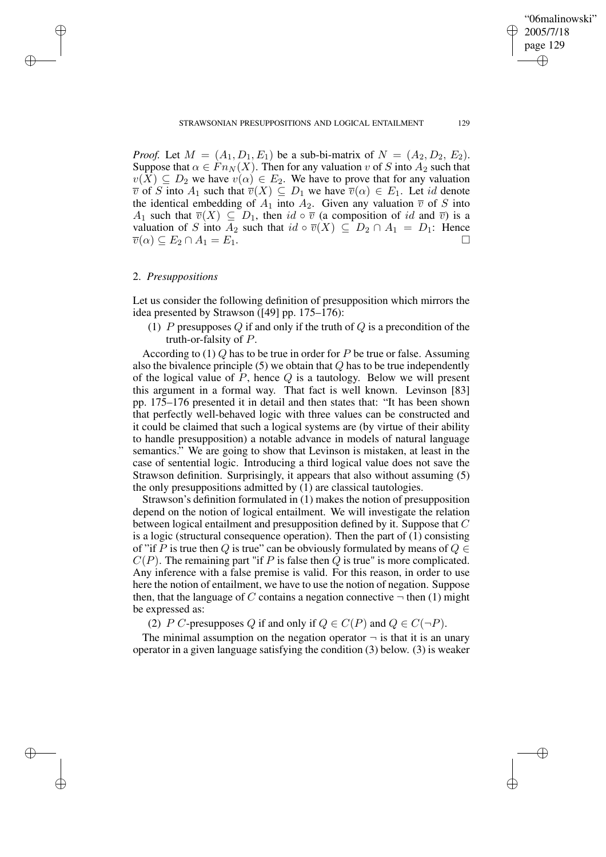✐

*Proof.* Let  $M = (A_1, D_1, E_1)$  be a sub-bi-matrix of  $N = (A_2, D_2, E_2)$ . Suppose that  $\alpha \in F_{n}(X)$ . Then for any valuation v of S into  $A_2$  such that  $v(X) \subseteq D_2$  we have  $v(\alpha) \in E_2$ . We have to prove that for any valuation  $\overline{v}$  of S into  $A_1$  such that  $\overline{v}(X) \subseteq D_1$  we have  $\overline{v}(\alpha) \in E_1$ . Let id denote the identical embedding of  $A_1$  into  $A_2$ . Given any valuation  $\overline{v}$  of S into A<sub>1</sub> such that  $\overline{v}(X) \subseteq D_1$ , then  $id \circ \overline{v}$  (a composition of id and  $\overline{v}$ ) is a valuation of S into  $A_2$  such that  $id \circ \overline{v}(X) \subseteq D_2 \cap A_1 = D_1$ : Hence  $\overline{v}(\alpha) \subseteq E_2 \cap A_1 = E_1.$ 

### 2. *Presuppositions*

✐

✐

✐

✐

Let us consider the following definition of presupposition which mirrors the idea presented by Strawson ([49] pp. 175–176):

(1) P presupposes Q if and only if the truth of  $Q$  is a precondition of the truth-or-falsity of P.

According to (1) Q has to be true in order for P be true or false. Assuming also the bivalence principle  $(5)$  we obtain that  $Q$  has to be true independently of the logical value of  $P$ , hence  $Q$  is a tautology. Below we will present this argument in a formal way. That fact is well known. Levinson [83] pp. 175–176 presented it in detail and then states that: "It has been shown that perfectly well-behaved logic with three values can be constructed and it could be claimed that such a logical systems are (by virtue of their ability to handle presupposition) a notable advance in models of natural language semantics." We are going to show that Levinson is mistaken, at least in the case of sentential logic. Introducing a third logical value does not save the Strawson definition. Surprisingly, it appears that also without assuming (5) the only presuppositions admitted by (1) are classical tautologies.

Strawson's definition formulated in (1) makes the notion of presupposition depend on the notion of logical entailment. We will investigate the relation between logical entailment and presupposition defined by it. Suppose that C is a logic (structural consequence operation). Then the part of (1) consisting of "if P is true then Q is true" can be obviously formulated by means of  $Q \in$  $C(P)$ . The remaining part "if P is false then Q is true" is more complicated. Any inference with a false premise is valid. For this reason, in order to use here the notion of entailment, we have to use the notion of negation. Suppose then, that the language of C contains a negation connective  $\neg$  then (1) might be expressed as:

(2) P C-presupposes Q if and only if  $Q \in C(P)$  and  $Q \in C(\neg P)$ .

The minimal assumption on the negation operator  $\neg$  is that it is an unary operator in a given language satisfying the condition (3) below. (3) is weaker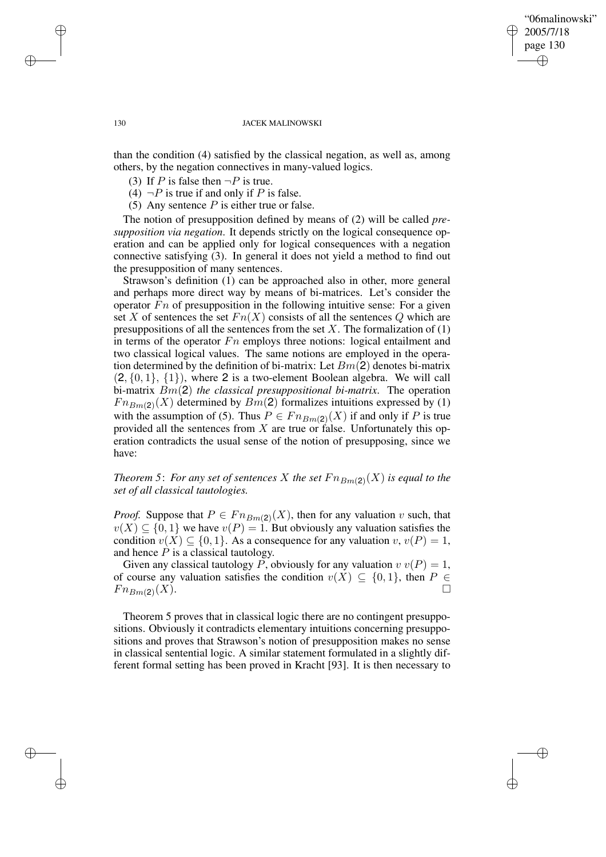# "06malinowski" 2005/7/18 page 130 ✐ ✐

✐

✐

### 130 JACEK MALINOWSKI

than the condition (4) satisfied by the classical negation, as well as, among others, by the negation connectives in many-valued logics.

- (3) If P is false then  $\neg P$  is true.
- (4)  $\neg P$  is true if and only if P is false.
- (5) Any sentence  $P$  is either true or false.

The notion of presupposition defined by means of (2) will be called *presupposition via negation*. It depends strictly on the logical consequence operation and can be applied only for logical consequences with a negation connective satisfying (3). In general it does not yield a method to find out the presupposition of many sentences.

Strawson's definition (1) can be approached also in other, more general and perhaps more direct way by means of bi-matrices. Let's consider the operator  $Fn$  of presupposition in the following intuitive sense: For a given set X of sentences the set  $Fn(X)$  consists of all the sentences Q which are presuppositions of all the sentences from the set  $X$ . The formalization of (1) in terms of the operator  $Fn$  employs three notions: logical entailment and two classical logical values. The same notions are employed in the operation determined by the definition of bi-matrix: Let  $Bm(2)$  denotes bi-matrix  $(2, \{0, 1\}, \{1\})$ , where 2 is a two-element Boolean algebra. We will call bi-matrix Bm(2) *the classical presuppositional bi-matrix*. The operation  $Fn_{Bm(2)}(X)$  determined by  $Bm(2)$  formalizes intuitions expressed by (1) with the assumption of (5). Thus  $P \in F_{nBm(2)}(X)$  if and only if P is true provided all the sentences from  $X$  are true or false. Unfortunately this operation contradicts the usual sense of the notion of presupposing, since we have:

# *Theorem 5: For any set of sentences X the set*  $Fn_{Bm(2)}(X)$  *is equal to the set of all classical tautologies.*

*Proof.* Suppose that  $P \in F_{n B_m(2)}(X)$ , then for any valuation v such, that  $v(X) \subseteq \{0,1\}$  we have  $v(P) = 1$ . But obviously any valuation satisfies the condition  $v(X) \subseteq \{0, 1\}$ . As a consequence for any valuation  $v, v(P) = 1$ , and hence  $P$  is a classical tautology.

Given any classical tautology P, obviously for any valuation  $v v(P) = 1$ , of course any valuation satisfies the condition  $v(X) \subseteq \{0,1\}$ , then  $P \in$  $Fn_{Bm(2)}(X)$ .  $(X)$ .

Theorem 5 proves that in classical logic there are no contingent presuppositions. Obviously it contradicts elementary intuitions concerning presuppositions and proves that Strawson's notion of presupposition makes no sense in classical sentential logic. A similar statement formulated in a slightly different formal setting has been proved in Kracht [93]. It is then necessary to

✐

✐

✐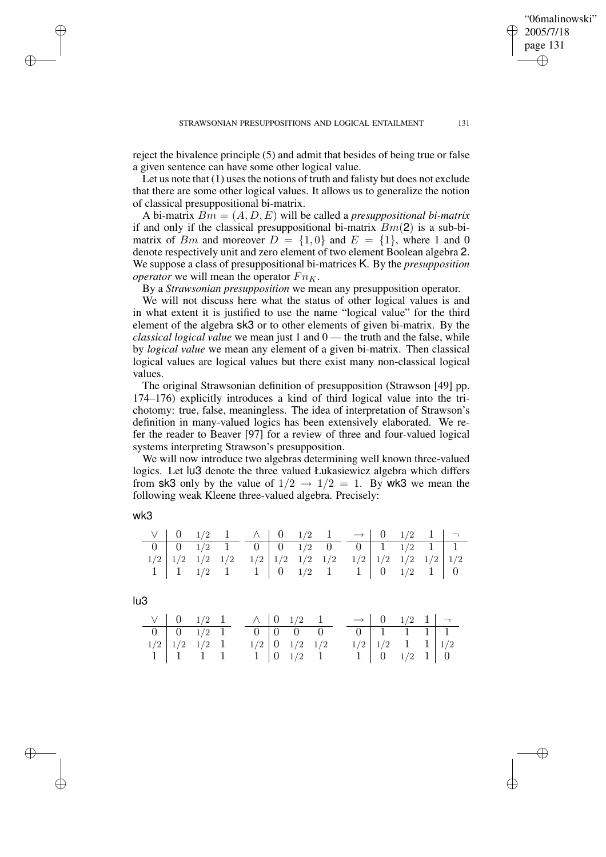reject the bivalence principle (5) and admit that besides of being true or false a given sentence can have some other logical value.

Let us note that  $(1)$  uses the notions of truth and falisty but does not exclude that there are some other logical values. It allows us to generalize the notion of classical presuppositional bi-matrix.

A bi-matrix Bm = (A, D, E) will be called a *presuppositional bi-matrix* if and only if the classical presuppositional bi-matrix  $Bm(2)$  is a sub-bimatrix of Bm and moreover  $D = \{1, 0\}$  and  $E = \{1\}$ , where 1 and 0 denote respectively unit and zero element of two element Boolean algebra 2. We suppose a class of presuppositional bi-matrices K. By the *presupposition operator* we will mean the operator  $Fn_K$ .

By a *Strawsonian presupposition* we mean any presupposition operator.

We will not discuss here what the status of other logical values is and in what extent it is justified to use the name "logical value" for the third element of the algebra sk3 or to other elements of given bi-matrix. By the *classical logical value* we mean just 1 and 0 — the truth and the false, while by *logical value* we mean any element of a given bi-matrix. Then classical logical values are logical values but there exist many non-classical logical values.

The original Strawsonian definition of presupposition (Strawson [49] pp. 174–176) explicitly introduces a kind of third logical value into the trichotomy: true, false, meaningless. The idea of interpretation of Strawson's definition in many-valued logics has been extensively elaborated. We refer the reader to Beaver [97] for a review of three and four-valued logical systems interpreting Strawson's presupposition.

We will now introduce two algebras determining well known three-valued logics. Let lu3 denote the three valued Łukasiewicz algebra which differs from sk3 only by the value of  $1/2 \rightarrow 1/2 = 1$ . By wk3 we mean the following weak Kleene three-valued algebra. Precisely:

| ٠ |
|---|
| w |
|   |
| I |
|   |

✐

✐

|  |  | $V \begin{bmatrix} 0 & 1/2 & 1 \\ A & 0 & 1/2 & 1 \end{bmatrix}$ $\wedge \begin{bmatrix} 0 & 1/2 & 1 \\ A & 0 & 1/2 & 1 \end{bmatrix}$ |  |  |  |  |  |
|--|--|----------------------------------------------------------------------------------------------------------------------------------------|--|--|--|--|--|
|  |  | $0 \t 0 \t 1/2 \t 1 \t 0 \t 0 \t 1/2 \t 0 \t 0 \t 1 \t 1/2 \t 1 \t 1$                                                                  |  |  |  |  |  |
|  |  | $1/2$ $1/2$ $1/2$ $1/2$ $1/2$ $1/2$ $1/2$ $1/2$ $1/2$ $1/2$ $1/2$ $1/2$ $1/2$ $1/2$                                                    |  |  |  |  |  |
|  |  | $1 \mid 1 \quad 1/2 \quad 1 \quad 1 \mid 0 \quad 1/2 \quad 1 \quad 1 \mid 0 \quad 1/2 \quad 1 \mid 0$                                  |  |  |  |  |  |

lu3

✐

✐

|                                                   |                          | $\vee$ 0 1/2 1 $\wedge$ 0 1/2 1 |                      |  |  | $\rightarrow$ 0 1/2 1 $\rightarrow$ |  |
|---------------------------------------------------|--------------------------|---------------------------------|----------------------|--|--|-------------------------------------|--|
| $\boxed{0}$ $\boxed{0}$ $\boxed{1/2}$ $\boxed{1}$ |                          |                                 | $\boxed{0}$ 0 0 0    |  |  | $0 \mid 1 \mid 1 \mid 1 \mid 1$     |  |
|                                                   | $1/2$ $1/2$ $1/2$ $1$    |                                 | $1/2$ 0 $1/2$ $1/2$  |  |  | $1/2$ $1/2$ $1$ $1$ $1/2$           |  |
|                                                   | $1 \mid 1 \mid 1 \mid 1$ |                                 | $1 \t 0 \t 1/2 \t 1$ |  |  | $1 \mid 0 \mid 1/2 \mid 1 \mid 0$   |  |

"06malinowski" 2005/7/18 page 131

✐

✐

✐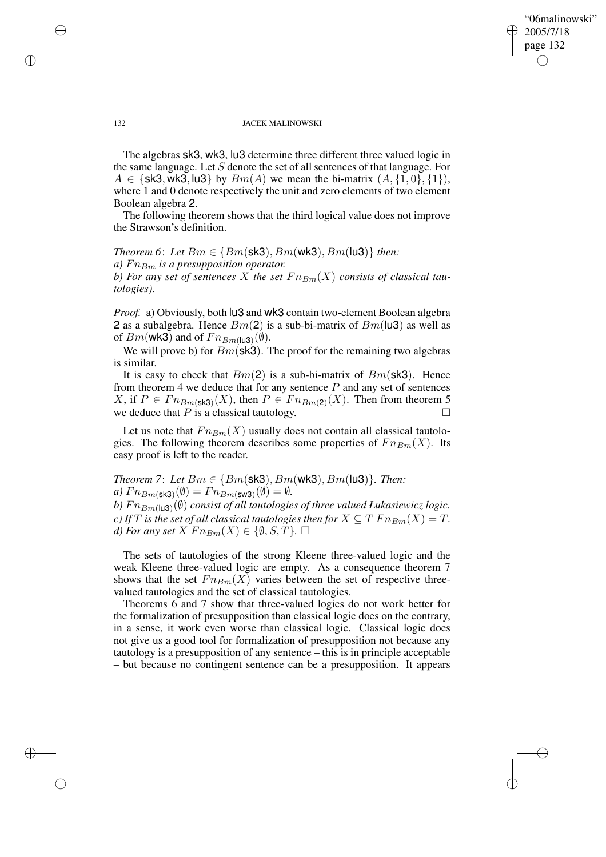# "06malinowski" 2005/7/18 page 132 ✐ ✐

✐

✐

#### 132 JACEK MALINOWSKI

The algebras sk3, wk3, lu3 determine three different three valued logic in the same language. Let S denote the set of all sentences of that language. For  $A \in \{sk3, wk3, lu3\}$  by  $Bm(A)$  we mean the bi-matrix  $(A, \{1, 0\}, \{1\}),$ where 1 and 0 denote respectively the unit and zero elements of two element Boolean algebra 2.

The following theorem shows that the third logical value does not improve the Strawson's definition.

# *Theorem* 6: *Let*  $Bm \in \{Bm(\text{sk3}), Bm(\text{wk3}), Bm(\text{lu3})\}$  *then:*

*a*)  $Fn_{Bm}$  *is a presupposition operator.* 

*b)* For any set of sentences X the set  $Fn_{Bm}(X)$  consists of classical tau*tologies).*

*Proof.* a) Obviously, both lu3 and wk3 contain two-element Boolean algebra 2 as a subalgebra. Hence  $Bm(2)$  is a sub-bi-matrix of  $Bm(\text{lu3})$  as well as of  $Bm$ (wk3) and of  $Fn_{Bm(lu3)}(\emptyset)$ .

We will prove b) for  $Bm$ (sk3). The proof for the remaining two algebras is similar.

It is easy to check that  $Bm(2)$  is a sub-bi-matrix of  $Bm(\text{sk3})$ . Hence from theorem 4 we deduce that for any sentence  $P$  and any set of sentences X, if  $P \in Fn_{Bm}(sks)(X)$ , then  $P \in Fn_{Bm}(2)(X)$ . Then from theorem 5 we deduce that  $P$  is a classical tautology.  $\square$ 

Let us note that  $Fn_{Bm}(X)$  usually does not contain all classical tautologies. The following theorem describes some properties of  $Fn_{Bm}(X)$ . Its easy proof is left to the reader.

*Theorem* 7: Let  $Bm \in \{Bm(\text{sk3}), Bm(\text{wk3}), Bm(\text{lu3})\}$ . *Then:*  $a)$   $Fn_{Bm(\textsf{sk3})}(\emptyset) = Fn_{Bm(\textsf{sw3})}(\emptyset) = \emptyset.$ b)  $Fn_{Bm(\mathsf{lu3})}(\emptyset)$  consist of all tautologies of three valued Łukasiewicz logic.

*c*) If T is the set of all classical tautologies then for  $X \subseteq T F n_{Bm}(X) = T$ . *d)* For any set  $X$   $Fn_{Bm}(X) \in \{\emptyset, S, T\}$ .  $\Box$ 

The sets of tautologies of the strong Kleene three-valued logic and the weak Kleene three-valued logic are empty. As a consequence theorem 7 shows that the set  $Fn_{Bm}(X)$  varies between the set of respective threevalued tautologies and the set of classical tautologies.

Theorems 6 and 7 show that three-valued logics do not work better for the formalization of presupposition than classical logic does on the contrary, in a sense, it work even worse than classical logic. Classical logic does not give us a good tool for formalization of presupposition not because any tautology is a presupposition of any sentence – this is in principle acceptable – but because no contingent sentence can be a presupposition. It appears

✐

✐

✐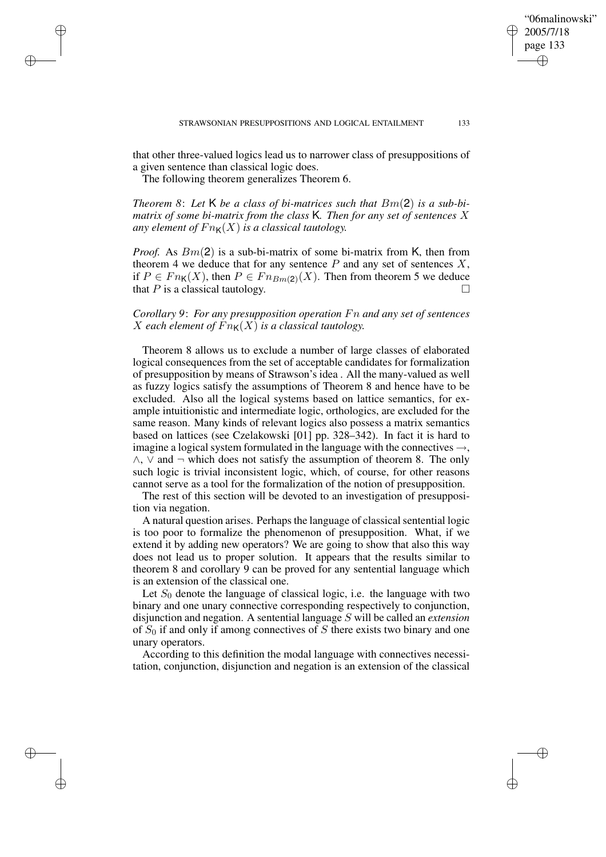✐

that other three-valued logics lead us to narrower class of presuppositions of a given sentence than classical logic does.

The following theorem generalizes Theorem 6.

✐

✐

✐

✐

*Theorem 8*: *Let* K *be a class of bi-matrices such that* Bm(2) *is a sub-bimatrix of some bi-matrix from the class* K*. Then for any set of sentences* X *any element of*  $Fn_K(X)$  *is a classical tautology.* 

*Proof.* As  $Bm(2)$  is a sub-bi-matrix of some bi-matrix from K, then from theorem 4 we deduce that for any sentence  $P$  and any set of sentences  $X$ , if  $P \in Fn_{\mathsf{K}}(X)$ , then  $P \in Fn_{Bm(2)}(X)$ . Then from theorem 5 we deduce that  $P$  is a classical tautology.

*Corollary 9*: *For any presupposition operation* Fn *and any set of sentences* X each element of  $Fn_{\mathsf{K}}(X)$  is a classical tautology.

Theorem 8 allows us to exclude a number of large classes of elaborated logical consequences from the set of acceptable candidates for formalization of presupposition by means of Strawson's idea . All the many-valued as well as fuzzy logics satisfy the assumptions of Theorem 8 and hence have to be excluded. Also all the logical systems based on lattice semantics, for example intuitionistic and intermediate logic, orthologics, are excluded for the same reason. Many kinds of relevant logics also possess a matrix semantics based on lattices (see Czelakowski [01] pp. 328–342). In fact it is hard to imagine a logical system formulated in the language with the connectives  $\rightarrow$ ,  $\wedge$ ,  $\vee$  and  $\neg$  which does not satisfy the assumption of theorem 8. The only such logic is trivial inconsistent logic, which, of course, for other reasons cannot serve as a tool for the formalization of the notion of presupposition.

The rest of this section will be devoted to an investigation of presupposition via negation.

A natural question arises. Perhaps the language of classical sentential logic is too poor to formalize the phenomenon of presupposition. What, if we extend it by adding new operators? We are going to show that also this way does not lead us to proper solution. It appears that the results similar to theorem 8 and corollary 9 can be proved for any sentential language which is an extension of the classical one.

Let  $S_0$  denote the language of classical logic, i.e. the language with two binary and one unary connective corresponding respectively to conjunction, disjunction and negation. A sentential language S will be called an *extension* of  $S_0$  if and only if among connectives of S there exists two binary and one unary operators.

According to this definition the modal language with connectives necessitation, conjunction, disjunction and negation is an extension of the classical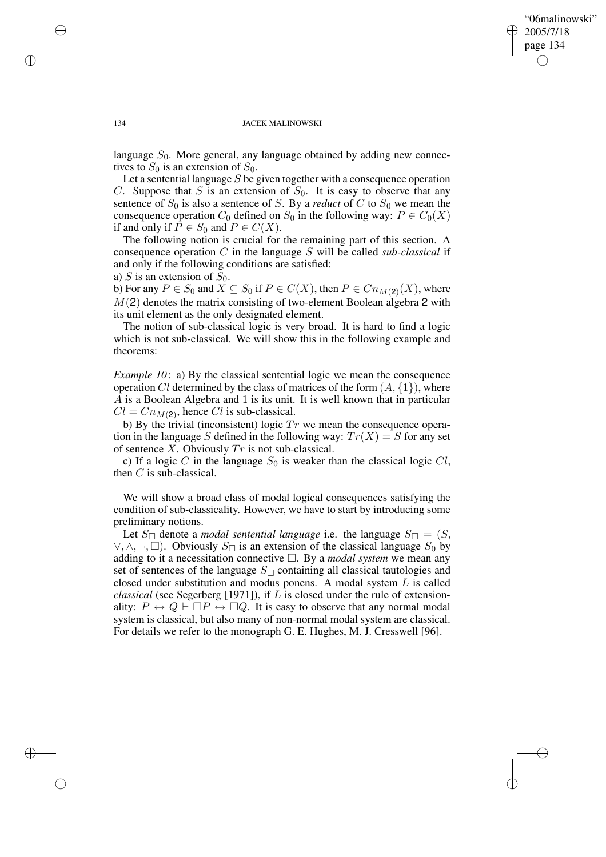✐

#### 134 JACEK MALINOWSKI

language  $S_0$ . More general, any language obtained by adding new connectives to  $S_0$  is an extension of  $S_0$ .

Let a sentential language  $S$  be given together with a consequence operation C. Suppose that S is an extension of  $S_0$ . It is easy to observe that any sentence of  $S_0$  is also a sentence of S. By a *reduct* of C to  $S_0$  we mean the consequence operation  $C_0$  defined on  $S_0$  in the following way:  $P \in C_0(X)$ if and only if  $P \in S_0$  and  $P \in C(X)$ .

The following notion is crucial for the remaining part of this section. A consequence operation C in the language S will be called *sub-classical* if and only if the following conditions are satisfied:

a) S is an extension of  $S_0$ .

b) For any  $P \in S_0$  and  $X \subseteq S_0$  if  $P \in C(X)$ , then  $P \in Cn_{M(2)}(X)$ , where  $M(2)$  denotes the matrix consisting of two-element Boolean algebra 2 with its unit element as the only designated element.

The notion of sub-classical logic is very broad. It is hard to find a logic which is not sub-classical. We will show this in the following example and theorems:

*Example 10*: a) By the classical sentential logic we mean the consequence operation Cl determined by the class of matrices of the form  $(A, \{1\})$ , where A is a Boolean Algebra and 1 is its unit. It is well known that in particular  $Cl = Cn_{M(2)}$ , hence Cl is sub-classical.

b) By the trivial (inconsistent) logic  $Tr$  we mean the consequence operation in the language S defined in the following way:  $Tr(X) = S$  for any set of sentence X*.* Obviously Tr is not sub-classical.

c) If a logic C in the language  $S_0$  is weaker than the classical logic Cl, then  $C$  is sub-classical.

We will show a broad class of modal logical consequences satisfying the condition of sub-classicality. However, we have to start by introducing some preliminary notions.

Let  $S_{\Box}$  denote a *modal sentential language* i.e. the language  $S_{\Box} = (S, \Box)$ ∨, ∧, ¬, □). Obviously  $S$  is an extension of the classical language  $S_0$  by adding to it a necessitation connective  $\Box$ . By a *modal system* we mean any set of sentences of the language  $S_{\Box}$  containing all classical tautologies and closed under substitution and modus ponens. A modal system L is called *classical* (see Segerberg [1971]), if L is closed under the rule of extensionality:  $P \leftrightarrow Q \vdash \Box P \leftrightarrow \Box Q$ . It is easy to observe that any normal modal system is classical, but also many of non-normal modal system are classical. For details we refer to the monograph G. E. Hughes, M. J. Cresswell [96].

✐

✐

✐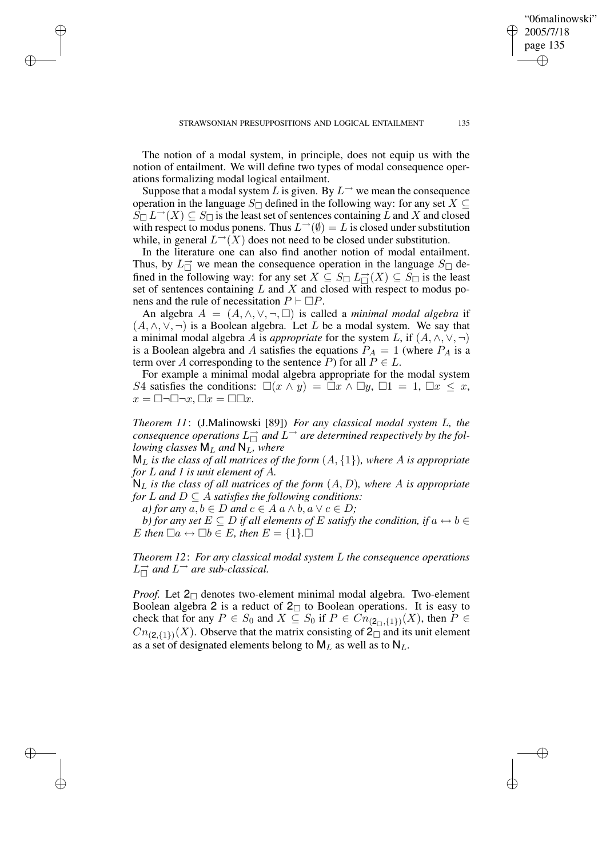The notion of a modal system, in principle, does not equip us with the notion of entailment. We will define two types of modal consequence operations formalizing modal logical entailment.

✐

✐

✐

✐

Suppose that a modal system L is given. By  $L^{\rightarrow}$  we mean the consequence operation in the language S $\Box$  defined in the following way: for any set  $X \subseteq$  $S_{\Box} L^{\rightarrow}(X) \subseteq S_{\Box}$  is the least set of sentences containing L and X and closed with respect to modus ponens. Thus  $L^{\rightarrow}(\emptyset) = L$  is closed under substitution while, in general  $L^{\rightarrow}(X)$  does not need to be closed under substitution.

In the literature one can also find another notion of modal entailment. Thus, by  $L_{\Box}^{\rightarrow}$  we mean the consequence operation in the language  $S_{\Box}$  defined in the following way: for any set  $X \subseteq S_{\square} L_{\square}^{\rightarrow}(X) \subseteq S_{\square}$  is the least set of sentences containing  $L$  and  $X$  and closed with respect to modus ponens and the rule of necessitation  $P \vdash \Box P$ .

An algebra  $A = (A, \wedge, \vee, \neg, \Box)$  is called a *minimal modal algebra* if  $(A, \wedge, \vee, \neg)$  is a Boolean algebra. Let L be a modal system. We say that a minimal modal algebra A is *appropriate* for the system L, if  $(A, \wedge, \vee, \neg)$ is a Boolean algebra and A satisfies the equations  $P_A = 1$  (where  $P_A$  is a term over A corresponding to the sentence P) for all  $P \in L$ .

For example a minimal modal algebra appropriate for the modal system S4 satisfies the conditions:  $\Box(x \land y) = \Box x \land \Box y$ ,  $\Box 1 = 1$ ,  $\Box x \leq x$ ,  $x = \Box \neg \Box \neg x, \Box x = \Box \Box x.$ 

*Theorem 11*: (J.Malinowski [89]) *For any classical modal system* L*, the* consequence operations  $L_{\square}^{\rightarrow}$  and  $L^{\rightarrow}$  are determined respectively by the fol*lowing classes* M<sup>L</sup> *and* NL*, where*

 $M_L$  *is the class of all matrices of the form*  $(A, \{1\})$ *, where A is appropriate for* L *and 1 is unit element of* A*.*

 $N_L$  *is the class of all matrices of the form*  $(A, D)$ *, where* A *is appropriate for*  $L$  *and*  $D \subseteq A$  *satisfies the following conditions:* 

*a) for any*  $a, b \in D$  *and*  $c \in A$   $a \wedge b, a \vee c \in D$ ;

*b*) *for any set*  $E \subseteq D$  *if all elements of*  $E$  *satisfy the condition, if*  $a \leftrightarrow b \in$  $E$  then  $\Box a \leftrightarrow \Box b \in E$ , then  $E = \{1\}$ .

*Theorem 12*: *For any classical modal system* L *the consequence operations*  $L_{\square}^{\rightarrow}$  and  $L^{\rightarrow}$  are sub-classical.

*Proof.* Let  $2_{\square}$  denotes two-element minimal modal algebra. Two-element Boolean algebra 2 is a reduct of  $2\Box$  to Boolean operations. It is easy to check that for any  $P \in S_0$  and  $X \subseteq S_0$  if  $P \in Cn_{(2_{\Box},\{1\})}(X)$ , then  $P \in$  $Cn_{(2,\lbrace 1 \rbrace)}(X)$ . Observe that the matrix consisting of  $2_{\square}$  and its unit element as a set of designated elements belong to  $M_L$  as well as to  $N_L$ .

"06malinowski" 2005/7/18 page 135

✐

✐

✐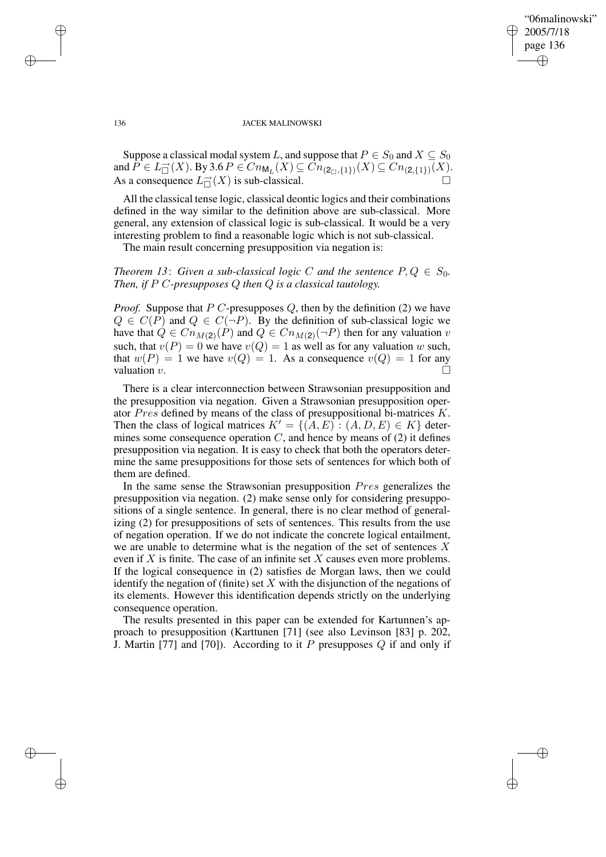✐

### 136 JACEK MALINOWSKI

Suppose a classical modal system L, and suppose that  $P \in S_0$  and  $X \subseteq S_0$ and  $P \in L^-_{\square}(X)$ . By 3.6  $P \in Cn_{\mathsf{M}_L}(X) \subseteq Cn_{(2,\{1\})}(X) \subseteq Cn_{(2,\{1\})}(X)$ . As a consequence  $L<sub>||</sub><sup>\rightarrow</sup>(X)$  is sub-classical.

All the classical tense logic, classical deontic logics and their combinations defined in the way similar to the definition above are sub-classical. More general, any extension of classical logic is sub-classical. It would be a very interesting problem to find a reasonable logic which is not sub-classical.

The main result concerning presupposition via negation is:

*Theorem* 13: *Given a sub-classical logic C and the sentence*  $P, Q \in S_0$ *. Then, if* P C*-presupposes* Q *then* Q *is a classical tautology.*

*Proof.* Suppose that  $P C$ -presupposes  $Q$ , then by the definition (2) we have  $Q \in C(P)$  and  $Q \in C(\neg P)$ . By the definition of sub-classical logic we have that  $Q \in Cn_{M(2)}(P)$  and  $Q \in Cn_{M(2)}(\neg P)$  then for any valuation v such, that  $v(P) = 0$  we have  $v(Q) = 1$  as well as for any valuation w such, that  $w(P) = 1$  we have  $v(Q) = 1$ . As a consequence  $v(Q) = 1$  for any valuation  $v$ .

There is a clear interconnection between Strawsonian presupposition and the presupposition via negation. Given a Strawsonian presupposition operator Pres defined by means of the class of presuppositional bi-matrices K. Then the class of logical matrices  $K' = \{(A, E) : (A, D, E) \in K\}$  determines some consequence operation  $C$ , and hence by means of  $(2)$  it defines presupposition via negation. It is easy to check that both the operators determine the same presuppositions for those sets of sentences for which both of them are defined.

In the same sense the Strawsonian presupposition Pres generalizes the presupposition via negation. (2) make sense only for considering presuppositions of a single sentence. In general, there is no clear method of generalizing (2) for presuppositions of sets of sentences. This results from the use of negation operation. If we do not indicate the concrete logical entailment, we are unable to determine what is the negation of the set of sentences X even if  $X$  is finite. The case of an infinite set  $X$  causes even more problems. If the logical consequence in (2) satisfies de Morgan laws, then we could identify the negation of (finite) set  $X$  with the disjunction of the negations of its elements. However this identification depends strictly on the underlying consequence operation.

The results presented in this paper can be extended for Kartunnen's approach to presupposition (Karttunen [71] (see also Levinson [83] p. 202, J. Martin [77] and [70]). According to it  $P$  presupposes  $Q$  if and only if

✐

✐

✐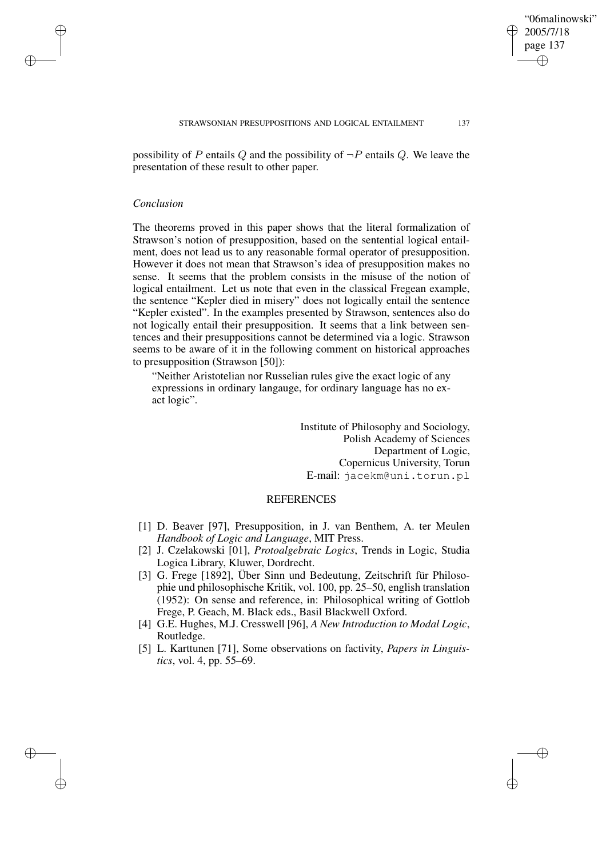"06malinowski" 2005/7/18 page 137

✐

✐

✐

✐

possibility of P entails Q and the possibility of  $\neg P$  entails Q. We leave the presentation of these result to other paper.

### *Conclusion*

✐

✐

✐

✐

The theorems proved in this paper shows that the literal formalization of Strawson's notion of presupposition, based on the sentential logical entailment, does not lead us to any reasonable formal operator of presupposition. However it does not mean that Strawson's idea of presupposition makes no sense. It seems that the problem consists in the misuse of the notion of logical entailment. Let us note that even in the classical Fregean example, the sentence "Kepler died in misery" does not logically entail the sentence "Kepler existed". In the examples presented by Strawson, sentences also do not logically entail their presupposition. It seems that a link between sentences and their presuppositions cannot be determined via a logic. Strawson seems to be aware of it in the following comment on historical approaches to presupposition (Strawson [50]):

"Neither Aristotelian nor Russelian rules give the exact logic of any expressions in ordinary langauge, for ordinary language has no exact logic".

> Institute of Philosophy and Sociology, Polish Academy of Sciences Department of Logic, Copernicus University, Torun E-mail: jacekm@uni.torun.pl

# **REFERENCES**

- [1] D. Beaver [97], Presupposition, in J. van Benthem, A. ter Meulen *Handbook of Logic and Language*, MIT Press.
- [2] J. Czelakowski [01], *Protoalgebraic Logics*, Trends in Logic, Studia Logica Library, Kluwer, Dordrecht.
- [3] G. Frege [1892], Über Sinn und Bedeutung, Zeitschrift für Philosophie und philosophische Kritik, vol. 100, pp. 25–50, english translation (1952): On sense and reference, in: Philosophical writing of Gottlob Frege, P. Geach, M. Black eds., Basil Blackwell Oxford.
- [4] G.E. Hughes, M.J. Cresswell [96], *A New Introduction to Modal Logic*, Routledge.
- [5] L. Karttunen [71], Some observations on factivity, *Papers in Linguistics*, vol. 4, pp. 55–69.